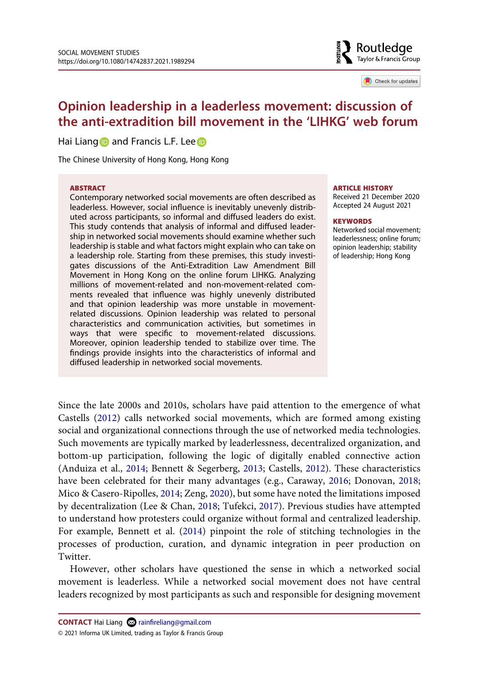

Check for updates

# **Opinion leadership in a leaderless movement: discussion of the anti-extradition bill movement in the 'LIHKG' web forum**

Hai Lian[g](http://orcid.org/0000-0003-1779-9552)  $\bullet$  and Francis L.F. Lee  $\bullet$ 

The Chinese University of Hong Kong, Hong Kong

#### **ABSTRACT**

Contemporary networked social movements are often described as leaderless. However, social influence is inevitably unevenly distributed across participants, so informal and diffused leaders do exist. This study contends that analysis of informal and diffused leadership in networked social movements should examine whether such leadership is stable and what factors might explain who can take on a leadership role. Starting from these premises, this study investigates discussions of the Anti-Extradition Law Amendment Bill Movement in Hong Kong on the online forum LIHKG. Analyzing millions of movement-related and non-movement-related comments revealed that influence was highly unevenly distributed and that opinion leadership was more unstable in movementrelated discussions. Opinion leadership was related to personal characteristics and communication activities, but sometimes in ways that were specific to movement-related discussions. Moreover, opinion leadership tended to stabilize over time. The findings provide insights into the characteristics of informal and diffused leadership in networked social movements.

#### **ARTICLE HISTORY**

Received 21 December 2020 Accepted 24 August 2021

#### **KEYWORDS**

Networked social movement; leaderlessness; online forum; opinion leadership; stability of leadership; Hong Kong

<span id="page-0-2"></span><span id="page-0-0"></span>Since the late 2000s and 2010s, scholars have paid attention to the emergence of what Castells [\(2012](#page-16-0)) calls networked social movements, which are formed among existing social and organizational connections through the use of networked media technologies. Such movements are typically marked by leaderlessness, decentralized organization, and bottom-up participation, following the logic of digitally enabled connective action (Anduiza et al., [2014](#page-16-1); Bennett & Segerberg, [2013;](#page-16-2) Castells, [2012](#page-16-0)). These characteristics have been celebrated for their many advantages (e.g., Caraway, [2016;](#page-16-3) Donovan, [2018;](#page-17-0) Mico & Casero-Ripolles, [2014](#page-17-1); Zeng, [2020](#page-18-0)), but some have noted the limitations imposed by decentralization (Lee & Chan, [2018](#page-17-2); Tufekci, [2017](#page-18-1)). Previous studies have attempted to understand how protesters could organize without formal and centralized leadership. For example, Bennett et al. [\(2014](#page-16-4)) pinpoint the role of stitching technologies in the processes of production, curation, and dynamic integration in peer production on Twitter.

<span id="page-0-4"></span><span id="page-0-3"></span><span id="page-0-1"></span>However, other scholars have questioned the sense in which a networked social movement is leaderless. While a networked social movement does not have central leaders recognized by most participants as such and responsible for designing movement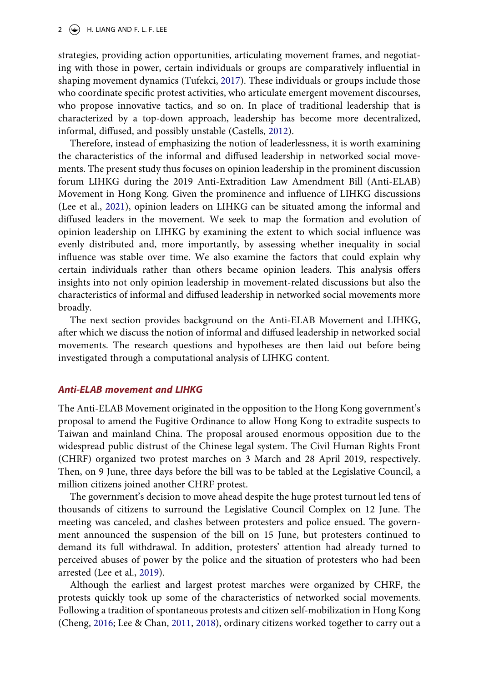strategies, providing action opportunities, articulating movement frames, and negotiating with those in power, certain individuals or groups are comparatively influential in shaping movement dynamics (Tufekci, [2017\)](#page-18-1). These individuals or groups include those who coordinate specific protest activities, who articulate emergent movement discourses, who propose innovative tactics, and so on. In place of traditional leadership that is characterized by a top-down approach, leadership has become more decentralized, informal, diffused, and possibly unstable (Castells, [2012\)](#page-16-0).

<span id="page-1-1"></span>Therefore, instead of emphasizing the notion of leaderlessness, it is worth examining the characteristics of the informal and diffused leadership in networked social movements. The present study thus focuses on opinion leadership in the prominent discussion forum LIHKG during the 2019 Anti-Extradition Law Amendment Bill (Anti-ELAB) Movement in Hong Kong. Given the prominence and influence of LIHKG discussions (Lee et al., [2021\)](#page-17-3), opinion leaders on LIHKG can be situated among the informal and diffused leaders in the movement. We seek to map the formation and evolution of opinion leadership on LIHKG by examining the extent to which social influence was evenly distributed and, more importantly, by assessing whether inequality in social influence was stable over time. We also examine the factors that could explain why certain individuals rather than others became opinion leaders. This analysis offers insights into not only opinion leadership in movement-related discussions but also the characteristics of informal and diffused leadership in networked social movements more broadly.

The next section provides background on the Anti-ELAB Movement and LIHKG, after which we discuss the notion of informal and diffused leadership in networked social movements. The research questions and hypotheses are then laid out before being investigated through a computational analysis of LIHKG content.

## *Anti-ELAB movement and LIHKG*

The Anti-ELAB Movement originated in the opposition to the Hong Kong government's proposal to amend the Fugitive Ordinance to allow Hong Kong to extradite suspects to Taiwan and mainland China. The proposal aroused enormous opposition due to the widespread public distrust of the Chinese legal system. The Civil Human Rights Front (CHRF) organized two protest marches on 3 March and 28 April 2019, respectively. Then, on 9 June, three days before the bill was to be tabled at the Legislative Council, a million citizens joined another CHRF protest.

The government's decision to move ahead despite the huge protest turnout led tens of thousands of citizens to surround the Legislative Council Complex on 12 June. The meeting was canceled, and clashes between protesters and police ensued. The government announced the suspension of the bill on 15 June, but protesters continued to demand its full withdrawal. In addition, protesters' attention had already turned to perceived abuses of power by the police and the situation of protesters who had been arrested (Lee et al., [2019\)](#page-17-4).

<span id="page-1-2"></span><span id="page-1-0"></span>Although the earliest and largest protest marches were organized by CHRF, the protests quickly took up some of the characteristics of networked social movements. Following a tradition of spontaneous protests and citizen self-mobilization in Hong Kong (Cheng, [2016;](#page-16-5) Lee & Chan, [2011,](#page-17-5) [2018](#page-17-2)), ordinary citizens worked together to carry out a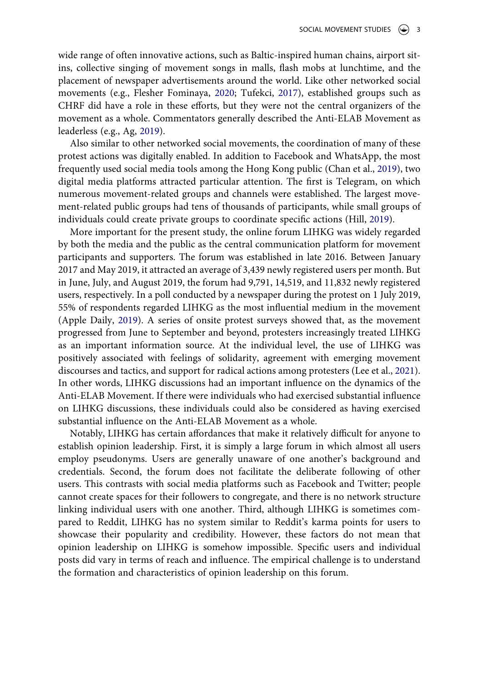<span id="page-2-3"></span>wide range of often innovative actions, such as Baltic-inspired human chains, airport sitins, collective singing of movement songs in malls, flash mobs at lunchtime, and the placement of newspaper advertisements around the world. Like other networked social movements (e.g., Flesher Fominaya, [2020](#page-17-6); Tufekci, [2017\)](#page-18-1), established groups such as CHRF did have a role in these efforts, but they were not the central organizers of the movement as a whole. Commentators generally described the Anti-ELAB Movement as leaderless (e.g., Ag, [2019](#page-16-6)).

<span id="page-2-2"></span><span id="page-2-0"></span>Also similar to other networked social movements, the coordination of many of these protest actions was digitally enabled. In addition to Facebook and WhatsApp, the most frequently used social media tools among the Hong Kong public (Chan et al., [2019\)](#page-16-7), two digital media platforms attracted particular attention. The first is Telegram, on which numerous movement-related groups and channels were established. The largest movement-related public groups had tens of thousands of participants, while small groups of individuals could create private groups to coordinate specific actions (Hill, [2019\)](#page-17-7).

<span id="page-2-4"></span><span id="page-2-1"></span>More important for the present study, the online forum LIHKG was widely regarded by both the media and the public as the central communication platform for movement participants and supporters. The forum was established in late 2016. Between January 2017 and May 2019, it attracted an average of 3,439 newly registered users per month. But in June, July, and August 2019, the forum had 9,791, 14,519, and 11,832 newly registered users, respectively. In a poll conducted by a newspaper during the protest on 1 July 2019, 55% of respondents regarded LIHKG as the most influential medium in the movement (Apple Daily, [2019\)](#page-16-8). A series of onsite protest surveys showed that, as the movement progressed from June to September and beyond, protesters increasingly treated LIHKG as an important information source. At the individual level, the use of LIHKG was positively associated with feelings of solidarity, agreement with emerging movement discourses and tactics, and support for radical actions among protesters (Lee et al., [2021](#page-17-3)). In other words, LIHKG discussions had an important influence on the dynamics of the Anti-ELAB Movement. If there were individuals who had exercised substantial influence on LIHKG discussions, these individuals could also be considered as having exercised substantial influence on the Anti-ELAB Movement as a whole.

Notably, LIHKG has certain affordances that make it relatively difficult for anyone to establish opinion leadership. First, it is simply a large forum in which almost all users employ pseudonyms. Users are generally unaware of one another's background and credentials. Second, the forum does not facilitate the deliberate following of other users. This contrasts with social media platforms such as Facebook and Twitter; people cannot create spaces for their followers to congregate, and there is no network structure linking individual users with one another. Third, although LIHKG is sometimes compared to Reddit, LIHKG has no system similar to Reddit's karma points for users to showcase their popularity and credibility. However, these factors do not mean that opinion leadership on LIHKG is somehow impossible. Specific users and individual posts did vary in terms of reach and influence. The empirical challenge is to understand the formation and characteristics of opinion leadership on this forum.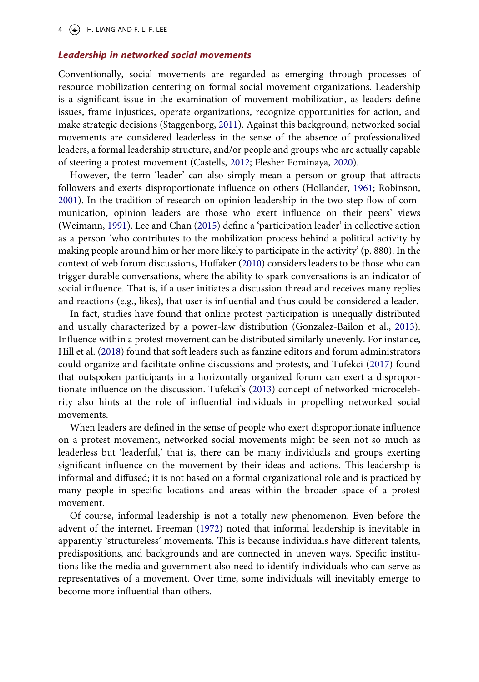#### *Leadership in networked social movements*

<span id="page-3-6"></span>Conventionally, social movements are regarded as emerging through processes of resource mobilization centering on formal social movement organizations. Leadership is a significant issue in the examination of movement mobilization, as leaders define issues, frame injustices, operate organizations, recognize opportunities for action, and make strategic decisions (Staggenborg, [2011](#page-18-2)). Against this background, networked social movements are considered leaderless in the sense of the absence of professionalized leaders, a formal leadership structure, and/or people and groups who are actually capable of steering a protest movement (Castells, [2012](#page-16-0); Flesher Fominaya, [2020\)](#page-17-6).

<span id="page-3-5"></span><span id="page-3-3"></span>However, the term 'leader' can also simply mean a person or group that attracts followers and exerts disproportionate influence on others (Hollander, [1961](#page-17-8); Robinson, [2001](#page-18-3)). In the tradition of research on opinion leadership in the two-step flow of communication, opinion leaders are those who exert influence on their peers' views (Weimann, [1991\)](#page-18-4). Lee and Chan [\(2015\)](#page-17-9) define a 'participation leader' in collective action as a person 'who contributes to the mobilization process behind a political activity by making people around him or her more likely to participate in the activity' (p. 880). In the context of web forum discussions, Huffaker [\(2010](#page-17-10)) considers leaders to be those who can trigger durable conversations, where the ability to spark conversations is an indicator of social influence. That is, if a user initiates a discussion thread and receives many replies and reactions (e.g., likes), that user is influential and thus could be considered a leader.

<span id="page-3-4"></span><span id="page-3-2"></span><span id="page-3-1"></span>In fact, studies have found that online protest participation is unequally distributed and usually characterized by a power-law distribution (Gonzalez-Bailon et al., [2013](#page-17-11)). Influence within a protest movement can be distributed similarly unevenly. For instance, Hill et al. [\(2018](#page-17-12)) found that soft leaders such as fanzine editors and forum administrators could organize and facilitate online discussions and protests, and Tufekci ([2017](#page-18-1)) found that outspoken participants in a horizontally organized forum can exert a disproportionate influence on the discussion. Tufekci's ([2013\)](#page-18-5) concept of networked microcelebrity also hints at the role of influential individuals in propelling networked social movements.

<span id="page-3-7"></span>When leaders are defined in the sense of people who exert disproportionate influence on a protest movement, networked social movements might be seen not so much as leaderless but 'leaderful,' that is, there can be many individuals and groups exerting significant influence on the movement by their ideas and actions. This leadership is informal and diffused; it is not based on a formal organizational role and is practiced by many people in specific locations and areas within the broader space of a protest movement.

<span id="page-3-0"></span>Of course, informal leadership is not a totally new phenomenon. Even before the advent of the internet, Freeman ([1972\)](#page-17-13) noted that informal leadership is inevitable in apparently 'structureless' movements. This is because individuals have different talents, predispositions, and backgrounds and are connected in uneven ways. Specific institutions like the media and government also need to identify individuals who can serve as representatives of a movement. Over time, some individuals will inevitably emerge to become more influential than others.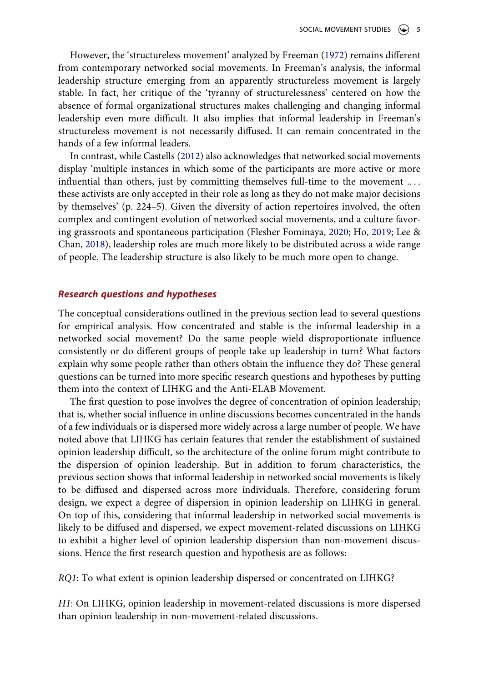However, the 'structureless movement' analyzed by Freeman [\(1972\)](#page-17-13) remains different from contemporary networked social movements. In Freeman's analysis, the informal leadership structure emerging from an apparently structureless movement is largely stable. In fact, her critique of the 'tyranny of structurelessness' centered on how the absence of formal organizational structures makes challenging and changing informal leadership even more difficult. It also implies that informal leadership in Freeman's structureless movement is not necessarily diffused. It can remain concentrated in the hands of a few informal leaders.

In contrast, while Castells ([2012](#page-16-0)) also acknowledges that networked social movements display 'multiple instances in which some of the participants are more active or more influential than others, just by committing themselves full-time to the movement .. . . these activists are only accepted in their role as long as they do not make major decisions by themselves' (p. 224–5). Given the diversity of action repertoires involved, the often complex and contingent evolution of networked social movements, and a culture favoring grassroots and spontaneous participation (Flesher Fominaya, [2020;](#page-17-6) Ho, [2019](#page-17-14); Lee & Chan, [2018](#page-17-2)), leadership roles are much more likely to be distributed across a wide range of people. The leadership structure is also likely to be much more open to change.

## <span id="page-4-0"></span>*Research questions and hypotheses*

The conceptual considerations outlined in the previous section lead to several questions for empirical analysis. How concentrated and stable is the informal leadership in a networked social movement? Do the same people wield disproportionate influence consistently or do different groups of people take up leadership in turn? What factors explain why some people rather than others obtain the influence they do? These general questions can be turned into more specific research questions and hypotheses by putting them into the context of LIHKG and the Anti-ELAB Movement.

The first question to pose involves the degree of concentration of opinion leadership; that is, whether social influence in online discussions becomes concentrated in the hands of a few individuals or is dispersed more widely across a large number of people. We have noted above that LIHKG has certain features that render the establishment of sustained opinion leadership difficult, so the architecture of the online forum might contribute to the dispersion of opinion leadership. But in addition to forum characteristics, the previous section shows that informal leadership in networked social movements is likely to be diffused and dispersed across more individuals. Therefore, considering forum design, we expect a degree of dispersion in opinion leadership on LIHKG in general. On top of this, considering that informal leadership in networked social movements is likely to be diffused and dispersed, we expect movement-related discussions on LIHKG to exhibit a higher level of opinion leadership dispersion than non-movement discussions. Hence the first research question and hypothesis are as follows:

*RQ1*: To what extent is opinion leadership dispersed or concentrated on LIHKG?

*H1*: On LIHKG, opinion leadership in movement-related discussions is more dispersed than opinion leadership in non-movement-related discussions.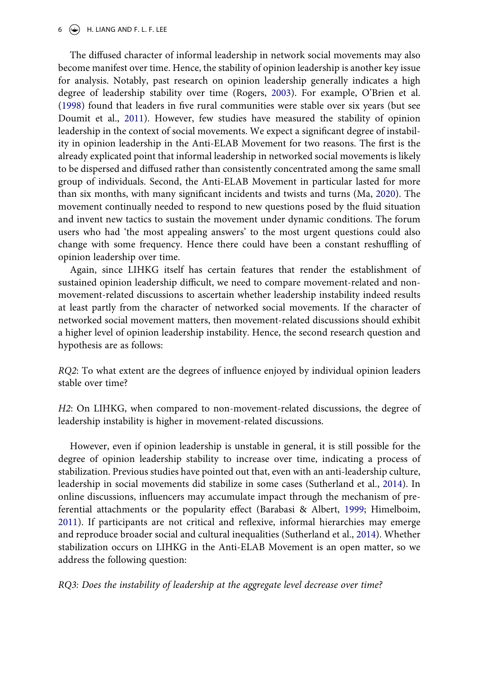## $6 \leftrightarrow$  H. LIANG AND F. L. F. LEE

<span id="page-5-4"></span><span id="page-5-3"></span><span id="page-5-1"></span>The diffused character of informal leadership in network social movements may also become manifest over time. Hence, the stability of opinion leadership is another key issue for analysis. Notably, past research on opinion leadership generally indicates a high degree of leadership stability over time (Rogers, [2003\)](#page-18-6). For example, O'Brien et al. ([1998\)](#page-18-7) found that leaders in five rural communities were stable over six years (but see Doumit et al., [2011](#page-17-15)). However, few studies have measured the stability of opinion leadership in the context of social movements. We expect a significant degree of instability in opinion leadership in the Anti-ELAB Movement for two reasons. The first is the already explicated point that informal leadership in networked social movements is likely to be dispersed and diffused rather than consistently concentrated among the same small group of individuals. Second, the Anti-ELAB Movement in particular lasted for more than six months, with many significant incidents and twists and turns (Ma, [2020](#page-17-16)). The movement continually needed to respond to new questions posed by the fluid situation and invent new tactics to sustain the movement under dynamic conditions. The forum users who had 'the most appealing answers' to the most urgent questions could also change with some frequency. Hence there could have been a constant reshuffling of opinion leadership over time.

<span id="page-5-2"></span>Again, since LIHKG itself has certain features that render the establishment of sustained opinion leadership difficult, we need to compare movement-related and nonmovement-related discussions to ascertain whether leadership instability indeed results at least partly from the character of networked social movements. If the character of networked social movement matters, then movement-related discussions should exhibit a higher level of opinion leadership instability. Hence, the second research question and hypothesis are as follows:

*RQ2*: To what extent are the degrees of influence enjoyed by individual opinion leaders stable over time?

*H2*: On LIHKG, when compared to non-movement-related discussions, the degree of leadership instability is higher in movement-related discussions.

<span id="page-5-0"></span>However, even if opinion leadership is unstable in general, it is still possible for the degree of opinion leadership stability to increase over time, indicating a process of stabilization. Previous studies have pointed out that, even with an anti-leadership culture, leadership in social movements did stabilize in some cases (Sutherland et al., [2014\)](#page-18-8). In online discussions, influencers may accumulate impact through the mechanism of preferential attachments or the popularity effect (Barabasi & Albert, [1999;](#page-16-9) Himelboim, [2011](#page-17-17)). If participants are not critical and reflexive, informal hierarchies may emerge and reproduce broader social and cultural inequalities (Sutherland et al., [2014](#page-18-8)). Whether stabilization occurs on LIHKG in the Anti-ELAB Movement is an open matter, so we address the following question:

<span id="page-5-5"></span>*RQ3: Does the instability of leadership at the aggregate level decrease over time?*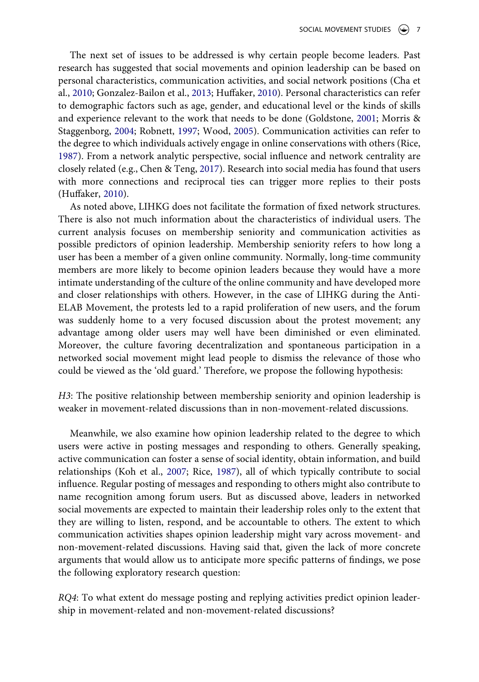<span id="page-6-4"></span><span id="page-6-2"></span><span id="page-6-0"></span>The next set of issues to be addressed is why certain people become leaders. Past research has suggested that social movements and opinion leadership can be based on personal characteristics, communication activities, and social network positions (Cha et al., [2010;](#page-16-10) Gonzalez-Bailon et al., [2013;](#page-17-11) Huffaker, [2010\)](#page-17-10). Personal characteristics can refer to demographic factors such as age, gender, and educational level or the kinds of skills and experience relevant to the work that needs to be done (Goldstone, [2001;](#page-17-18) Morris & Staggenborg, [2004](#page-18-9); Robnett, [1997](#page-18-10); Wood, [2005](#page-18-11)). Communication activities can refer to the degree to which individuals actively engage in online conservations with others (Rice, [1987](#page-18-12)). From a network analytic perspective, social influence and network centrality are closely related (e.g., Chen & Teng, [2017\)](#page-16-11). Research into social media has found that users with more connections and reciprocal ties can trigger more replies to their posts (Huffaker, [2010\)](#page-17-10).

<span id="page-6-1"></span>As noted above, LIHKG does not facilitate the formation of fixed network structures. There is also not much information about the characteristics of individual users. The current analysis focuses on membership seniority and communication activities as possible predictors of opinion leadership. Membership seniority refers to how long a user has been a member of a given online community. Normally, long-time community members are more likely to become opinion leaders because they would have a more intimate understanding of the culture of the online community and have developed more and closer relationships with others. However, in the case of LIHKG during the Anti-ELAB Movement, the protests led to a rapid proliferation of new users, and the forum was suddenly home to a very focused discussion about the protest movement; any advantage among older users may well have been diminished or even eliminated. Moreover, the culture favoring decentralization and spontaneous participation in a networked social movement might lead people to dismiss the relevance of those who could be viewed as the 'old guard.' Therefore, we propose the following hypothesis:

*H3*: The positive relationship between membership seniority and opinion leadership is weaker in movement-related discussions than in non-movement-related discussions.

<span id="page-6-3"></span>Meanwhile, we also examine how opinion leadership related to the degree to which users were active in posting messages and responding to others. Generally speaking, active communication can foster a sense of social identity, obtain information, and build relationships (Koh et al., [2007;](#page-17-19) Rice, [1987](#page-18-12)), all of which typically contribute to social influence. Regular posting of messages and responding to others might also contribute to name recognition among forum users. But as discussed above, leaders in networked social movements are expected to maintain their leadership roles only to the extent that they are willing to listen, respond, and be accountable to others. The extent to which communication activities shapes opinion leadership might vary across movement- and non-movement-related discussions. Having said that, given the lack of more concrete arguments that would allow us to anticipate more specific patterns of findings, we pose the following exploratory research question:

*RQ4*: To what extent do message posting and replying activities predict opinion leadership in movement-related and non-movement-related discussions?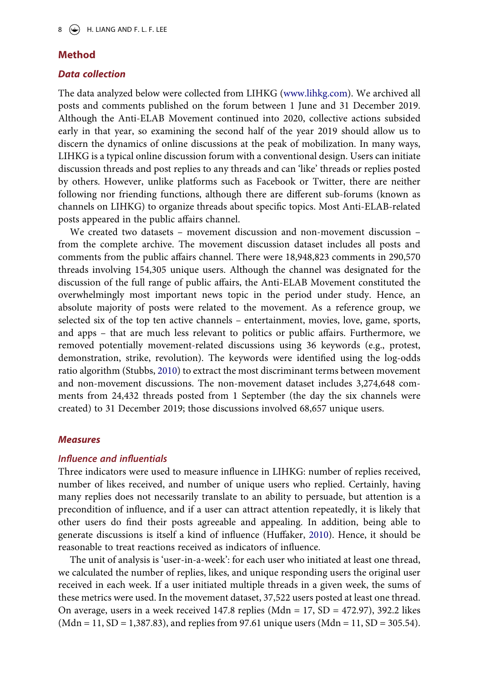#### **Method**

## *Data collection*

The data analyzed below were collected from LIHKG [\(www.lihkg.com](http://www.lihkg.com)). We archived all posts and comments published on the forum between 1 June and 31 December 2019. Although the Anti-ELAB Movement continued into 2020, collective actions subsided early in that year, so examining the second half of the year 2019 should allow us to discern the dynamics of online discussions at the peak of mobilization. In many ways, LIHKG is a typical online discussion forum with a conventional design. Users can initiate discussion threads and post replies to any threads and can 'like' threads or replies posted by others. However, unlike platforms such as Facebook or Twitter, there are neither following nor friending functions, although there are different sub-forums (known as channels on LIHKG) to organize threads about specific topics. Most Anti-ELAB-related posts appeared in the public affairs channel.

We created two datasets – movement discussion and non-movement discussion – from the complete archive. The movement discussion dataset includes all posts and comments from the public affairs channel. There were 18,948,823 comments in 290,570 threads involving 154,305 unique users. Although the channel was designated for the discussion of the full range of public affairs, the Anti-ELAB Movement constituted the overwhelmingly most important news topic in the period under study. Hence, an absolute majority of posts were related to the movement. As a reference group, we selected six of the top ten active channels – entertainment, movies, love, game, sports, and apps – that are much less relevant to politics or public affairs. Furthermore, we removed potentially movement-related discussions using 36 keywords (e.g., protest, demonstration, strike, revolution). The keywords were identified using the log-odds ratio algorithm (Stubbs, [2010](#page-18-13)) to extract the most discriminant terms between movement and non-movement discussions. The non-movement dataset includes 3,274,648 comments from 24,432 threads posted from 1 September (the day the six channels were created) to 31 December 2019; those discussions involved 68,657 unique users.

#### <span id="page-7-0"></span>*Measures*

#### *Influence and influentials*

Three indicators were used to measure influence in LIHKG: number of replies received, number of likes received, and number of unique users who replied. Certainly, having many replies does not necessarily translate to an ability to persuade, but attention is a precondition of influence, and if a user can attract attention repeatedly, it is likely that other users do find their posts agreeable and appealing. In addition, being able to generate discussions is itself a kind of influence (Huffaker, [2010](#page-17-10)). Hence, it should be reasonable to treat reactions received as indicators of influence.

The unit of analysis is 'user-in-a-week': for each user who initiated at least one thread, we calculated the number of replies, likes, and unique responding users the original user received in each week. If a user initiated multiple threads in a given week, the sums of these metrics were used. In the movement dataset, 37,522 users posted at least one thread. On average, users in a week received  $147.8$  replies (Mdn = 17, SD = 472.97), 392.2 likes  $(Mdn = 11, SD = 1,387.83)$ , and replies from 97.61 unique users  $(Mdn = 11, SD = 305.54)$ .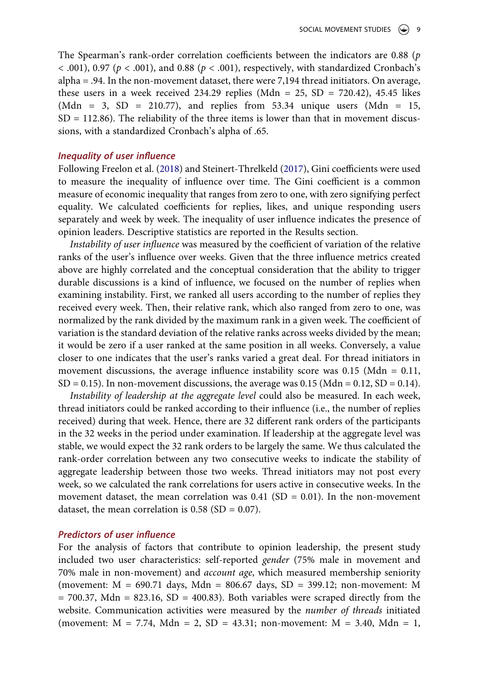The Spearman's rank-order correlation coefficients between the indicators are 0.88 (*p*   $<$  0.01), 0.97 ( $p <$  0.01), and 0.88 ( $p <$  0.01), respectively, with standardized Cronbach's alpha = .94. In the non-movement dataset, there were 7,194 thread initiators. On average, these users in a week received 234.29 replies (Mdn = 25, SD = 720.42), 45.45 likes (Mdn = 3, SD = 210.77), and replies from 53.34 unique users (Mdn = 15,  $SD = 112.86$ ). The reliability of the three items is lower than that in movement discussions, with a standardized Cronbach's alpha of .65.

## *Inequality of user influence*

<span id="page-8-0"></span>Following Freelon et al. ([2018\)](#page-17-20) and Steinert-Threlkeld [\(2017](#page-18-14)), Gini coefficients were used to measure the inequality of influence over time. The Gini coefficient is a common measure of economic inequality that ranges from zero to one, with zero signifying perfect equality. We calculated coefficients for replies, likes, and unique responding users separately and week by week. The inequality of user influence indicates the presence of opinion leaders. Descriptive statistics are reported in the Results section.

*Instability of user influence* was measured by the coefficient of variation of the relative ranks of the user's influence over weeks. Given that the three influence metrics created above are highly correlated and the conceptual consideration that the ability to trigger durable discussions is a kind of influence, we focused on the number of replies when examining instability. First, we ranked all users according to the number of replies they received every week. Then, their relative rank, which also ranged from zero to one, was normalized by the rank divided by the maximum rank in a given week. The coefficient of variation is the standard deviation of the relative ranks across weeks divided by the mean; it would be zero if a user ranked at the same position in all weeks. Conversely, a value closer to one indicates that the user's ranks varied a great deal. For thread initiators in movement discussions, the average influence instability score was  $0.15$  (Mdn =  $0.11$ ,  $SD = 0.15$ ). In non-movement discussions, the average was 0.15 (Mdn = 0.12, SD = 0.14).

*Instability of leadership at the aggregate level* could also be measured. In each week, thread initiators could be ranked according to their influence (i.e., the number of replies received) during that week. Hence, there are 32 different rank orders of the participants in the 32 weeks in the period under examination. If leadership at the aggregate level was stable, we would expect the 32 rank orders to be largely the same. We thus calculated the rank-order correlation between any two consecutive weeks to indicate the stability of aggregate leadership between those two weeks. Thread initiators may not post every week, so we calculated the rank correlations for users active in consecutive weeks. In the movement dataset, the mean correlation was  $0.41$  (SD = 0.01). In the non-movement dataset, the mean correlation is  $0.58$  (SD = 0.07).

#### *Predictors of user influence*

For the analysis of factors that contribute to opinion leadership, the present study included two user characteristics: self-reported *gender* (75% male in movement and 70% male in non-movement) and *account age*, which measured membership seniority (movement: M = 690.71 days, Mdn = 806.67 days, SD = 399.12; non-movement: M  $= 700.37$ , Mdn  $= 823.16$ , SD  $= 400.83$ ). Both variables were scraped directly from the website. Communication activities were measured by the *number of threads* initiated (movement:  $M = 7.74$ ,  $Mdn = 2$ ,  $SD = 43.31$ ; non-movement:  $M = 3.40$ ,  $Mdn = 1$ ,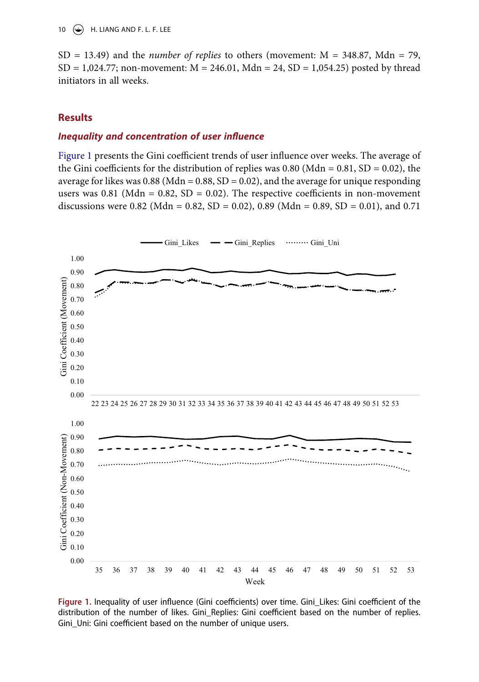SD = 13.49) and the *number of replies* to others (movement: M = 348.87, Mdn = 79, SD = 1,024.77; non-movement:  $M = 246.01$ ,  $Mdn = 24$ , SD = 1,054.25) posted by thread initiators in all weeks.

## **Results**

# *Inequality and concentration of user influence*

[Figure 1](#page-9-0) presents the Gini coefficient trends of user influence over weeks. The average of the Gini coefficients for the distribution of replies was 0.80 (Mdn =  $0.81$ , SD =  $0.02$ ), the average for likes was  $0.88$  (Mdn =  $0.88$ , SD =  $0.02$ ), and the average for unique responding users was  $0.81$  (Mdn =  $0.82$ , SD = 0.02). The respective coefficients in non-movement discussions were 0.82 (Mdn = 0.82, SD = 0.02), 0.89 (Mdn = 0.89, SD = 0.01), and 0.71

<span id="page-9-0"></span>

**Figure 1.** Inequality of user influence (Gini coefficients) over time. Gini\_Likes: Gini coefficient of the distribution of the number of likes. Gini\_Replies: Gini coefficient based on the number of replies. Gini\_Uni: Gini coefficient based on the number of unique users.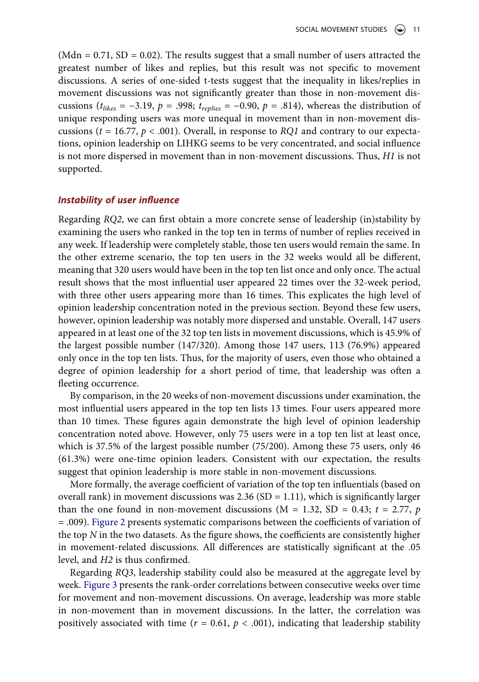(Mdn =  $0.71$ , SD =  $0.02$ ). The results suggest that a small number of users attracted the greatest number of likes and replies, but this result was not specific to movement discussions. A series of one-sided t-tests suggest that the inequality in likes/replies in movement discussions was not significantly greater than those in non-movement discussions ( $t_{likes} = -3.19$ ,  $p = .998$ ;  $t_{replies} = -0.90$ ,  $p = .814$ ), whereas the distribution of unique responding users was more unequal in movement than in non-movement discussions (*t* = 16.77, *p* < .001). Overall, in response to *RQ1* and contrary to our expectations, opinion leadership on LIHKG seems to be very concentrated, and social influence is not more dispersed in movement than in non-movement discussions. Thus, *H1* is not supported.

## *Instability of user influence*

Regarding *RQ2*, we can first obtain a more concrete sense of leadership (in)stability by examining the users who ranked in the top ten in terms of number of replies received in any week. If leadership were completely stable, those ten users would remain the same. In the other extreme scenario, the top ten users in the 32 weeks would all be different, meaning that 320 users would have been in the top ten list once and only once. The actual result shows that the most influential user appeared 22 times over the 32-week period, with three other users appearing more than 16 times. This explicates the high level of opinion leadership concentration noted in the previous section. Beyond these few users, however, opinion leadership was notably more dispersed and unstable. Overall, 147 users appeared in at least one of the 32 top ten lists in movement discussions, which is 45.9% of the largest possible number (147/320). Among those 147 users, 113 (76.9%) appeared only once in the top ten lists. Thus, for the majority of users, even those who obtained a degree of opinion leadership for a short period of time, that leadership was often a fleeting occurrence.

By comparison, in the 20 weeks of non-movement discussions under examination, the most influential users appeared in the top ten lists 13 times. Four users appeared more than 10 times. These figures again demonstrate the high level of opinion leadership concentration noted above. However, only 75 users were in a top ten list at least once, which is 37.5% of the largest possible number (75/200). Among these 75 users, only 46 (61.3%) were one-time opinion leaders. Consistent with our expectation, the results suggest that opinion leadership is more stable in non-movement discussions.

More formally, the average coefficient of variation of the top ten influentials (based on overall rank) in movement discussions was  $2.36$  (SD = 1.11), which is significantly larger than the one found in non-movement discussions ( $M = 1.32$ ,  $SD = 0.43$ ;  $t = 2.77$ ,  $p$ = .009). [Figure 2](#page-11-0) presents systematic comparisons between the coefficients of variation of the top *N* in the two datasets. As the figure shows, the coefficients are consistently higher in movement-related discussions. All differences are statistically significant at the .05 level, and *H2* is thus confirmed.

Regarding *RQ3*, leadership stability could also be measured at the aggregate level by week. [Figure 3](#page-11-1) presents the rank-order correlations between consecutive weeks over time for movement and non-movement discussions. On average, leadership was more stable in non-movement than in movement discussions. In the latter, the correlation was positively associated with time ( $r = 0.61$ ,  $p < .001$ ), indicating that leadership stability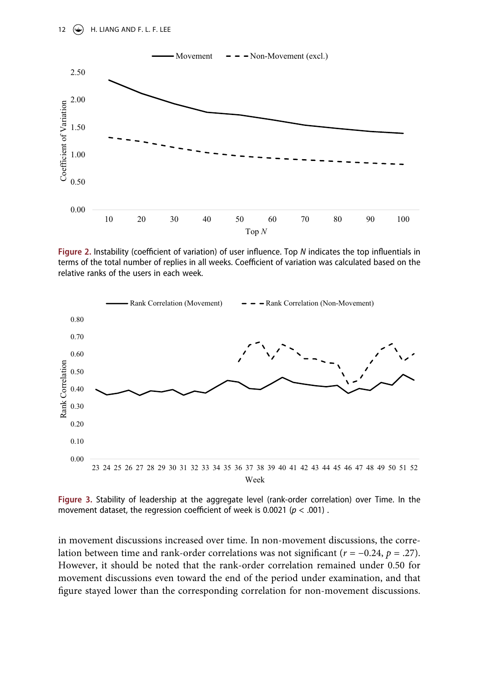<span id="page-11-0"></span>

**Figure 2.** Instability (coefficient of variation) of user influence. Top *N* indicates the top influentials in terms of the total number of replies in all weeks. Coefficient of variation was calculated based on the relative ranks of the users in each week.

<span id="page-11-1"></span>

**Figure 3.** Stability of leadership at the aggregate level (rank-order correlation) over Time. In the movement dataset, the regression coefficient of week is 0.0021 (*p* < .001) .

in movement discussions increased over time. In non-movement discussions, the correlation between time and rank-order correlations was not significant (*r* = −0.24, *p* = .27). However, it should be noted that the rank-order correlation remained under 0.50 for movement discussions even toward the end of the period under examination, and that figure stayed lower than the corresponding correlation for non-movement discussions.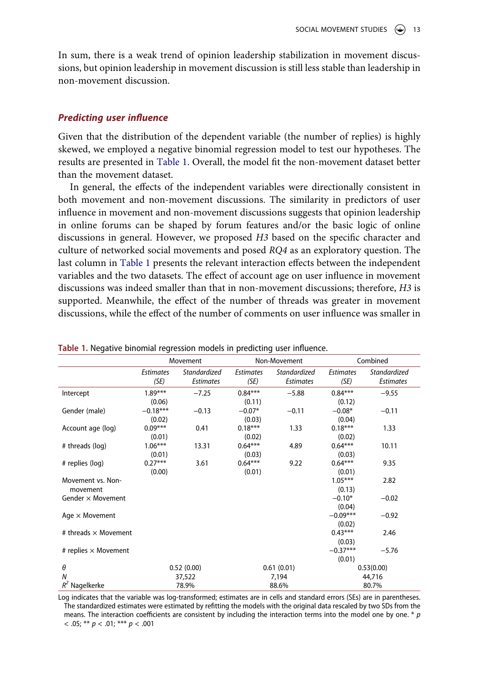In sum, there is a weak trend of opinion leadership stabilization in movement discussions, but opinion leadership in movement discussion is still less stable than leadership in non-movement discussion.

#### *Predicting user influence*

Given that the distribution of the dependent variable (the number of replies) is highly skewed, we employed a negative binomial regression model to test our hypotheses. The results are presented in [Table 1.](#page-12-0) Overall, the model fit the non-movement dataset better than the movement dataset.

In general, the effects of the independent variables were directionally consistent in both movement and non-movement discussions. The similarity in predictors of user influence in movement and non-movement discussions suggests that opinion leadership in online forums can be shaped by forum features and/or the basic logic of online discussions in general. However, we proposed *H3* based on the specific character and culture of networked social movements and posed *RQ4* as an exploratory question. The last column in [Table 1](#page-12-0) presents the relevant interaction effects between the independent variables and the two datasets. The effect of account age on user influence in movement discussions was indeed smaller than that in non-movement discussions; therefore, *H3* is supported. Meanwhile, the effect of the number of threads was greater in movement discussions, while the effect of the number of comments on user influence was smaller in

|                             | Movement                 |                                  | Non-Movement             |                                  | Combined                 |                                  |
|-----------------------------|--------------------------|----------------------------------|--------------------------|----------------------------------|--------------------------|----------------------------------|
|                             | <b>Estimates</b><br>(SE) | Standardized<br><b>Estimates</b> | <b>Estimates</b><br>(SE) | Standardized<br><b>Estimates</b> | <b>Estimates</b><br>(SE) | Standardized<br><b>Estimates</b> |
| Intercept                   | $1.89***$                | $-7.25$                          | $0.84***$                | $-5.88$                          | $0.84***$                | $-9.55$                          |
|                             | (0.06)                   |                                  | (0.11)                   |                                  | (0.12)                   |                                  |
| Gender (male)               | $-0.18***$               | $-0.13$                          | $-0.07*$                 | $-0.11$                          | $-0.08*$                 | $-0.11$                          |
|                             | (0.02)                   |                                  | (0.03)                   |                                  | (0.04)                   |                                  |
| Account age (log)           | $0.09***$                | 0.41                             | $0.18***$                | 1.33                             | $0.18***$                | 1.33                             |
|                             | (0.01)                   |                                  | (0.02)                   |                                  | (0.02)                   |                                  |
| # threads (log)             | $1.06***$                | 13.31                            | $0.64***$                | 4.89                             | $0.64***$                | 10.11                            |
|                             | (0.01)                   |                                  | (0.03)                   |                                  | (0.03)                   |                                  |
| # replies (log)             | $0.27***$                | 3.61                             | $0.64***$                | 9.22                             | $0.64***$                | 9.35                             |
|                             | (0.00)                   |                                  | (0.01)                   |                                  | (0.01)                   |                                  |
| Movement vs. Non-           |                          |                                  |                          |                                  | $1.05***$                | 2.82                             |
| movement                    |                          |                                  |                          |                                  | (0.13)                   |                                  |
| Gender $\times$ Movement    |                          |                                  |                          |                                  | $-0.10*$                 | $-0.02$                          |
|                             |                          |                                  |                          |                                  | (0.04)                   |                                  |
| Age $\times$ Movement       |                          |                                  |                          |                                  | $-0.09***$               | $-0.92$                          |
|                             |                          |                                  |                          |                                  | (0.02)                   |                                  |
| # threads $\times$ Movement |                          |                                  |                          |                                  | $0.43***$                | 2.46                             |
|                             |                          |                                  |                          |                                  | (0.03)                   |                                  |
| # replies $\times$ Movement |                          |                                  |                          |                                  | $-0.37***$               | $-5.76$                          |
|                             |                          |                                  |                          |                                  | (0.01)                   |                                  |
| $\theta$                    | 0.52(0.00)               |                                  | 0.61(0.01)               |                                  | 0.53(0.00)               |                                  |
| $\boldsymbol{N}$            | 37,522                   |                                  | 7,194                    |                                  | 44,716                   |                                  |
| $R^2$ Nagelkerke            | 78.9%                    |                                  | 88.6%                    |                                  | 80.7%                    |                                  |

<span id="page-12-0"></span>**Table 1.** Negative binomial regression models in predicting user influence.

Log indicates that the variable was log-transformed; estimates are in cells and standard errors (SEs) are in parentheses. The standardized estimates were estimated by refitting the models with the original data rescaled by two SDs from the means. The interaction coefficients are consistent by including the interaction terms into the model one by one. \* *p*   $< .05;$  \*\* *p*  $< .01;$  \*\*\* *p*  $< .001$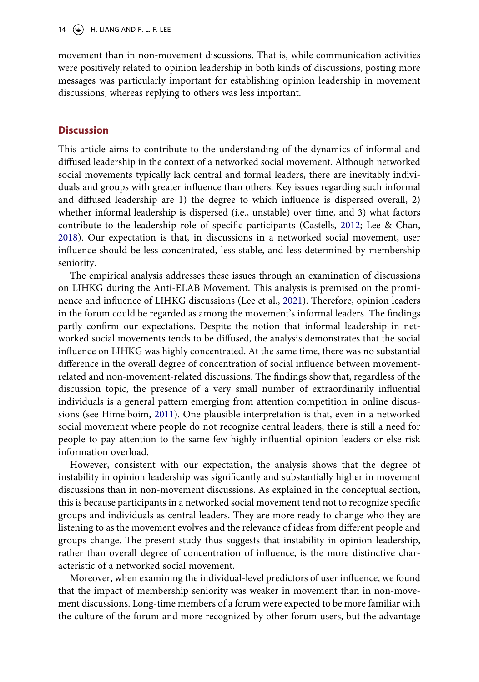14  $\left(\rightarrow\right)$  H. LIANG AND F. L. F. LEE

movement than in non-movement discussions. That is, while communication activities were positively related to opinion leadership in both kinds of discussions, posting more messages was particularly important for establishing opinion leadership in movement discussions, whereas replying to others was less important.

# **Discussion**

This article aims to contribute to the understanding of the dynamics of informal and diffused leadership in the context of a networked social movement. Although networked social movements typically lack central and formal leaders, there are inevitably individuals and groups with greater influence than others. Key issues regarding such informal and diffused leadership are 1) the degree to which influence is dispersed overall, 2) whether informal leadership is dispersed (i.e., unstable) over time, and 3) what factors contribute to the leadership role of specific participants (Castells, [2012](#page-16-0); Lee & Chan, [2018](#page-17-2)). Our expectation is that, in discussions in a networked social movement, user influence should be less concentrated, less stable, and less determined by membership seniority.

The empirical analysis addresses these issues through an examination of discussions on LIHKG during the Anti-ELAB Movement. This analysis is premised on the prominence and influence of LIHKG discussions (Lee et al., [2021\)](#page-17-3). Therefore, opinion leaders in the forum could be regarded as among the movement's informal leaders. The findings partly confirm our expectations. Despite the notion that informal leadership in networked social movements tends to be diffused, the analysis demonstrates that the social influence on LIHKG was highly concentrated. At the same time, there was no substantial difference in the overall degree of concentration of social influence between movementrelated and non-movement-related discussions. The findings show that, regardless of the discussion topic, the presence of a very small number of extraordinarily influential individuals is a general pattern emerging from attention competition in online discussions (see Himelboim, [2011](#page-17-17)). One plausible interpretation is that, even in a networked social movement where people do not recognize central leaders, there is still a need for people to pay attention to the same few highly influential opinion leaders or else risk information overload.

However, consistent with our expectation, the analysis shows that the degree of instability in opinion leadership was significantly and substantially higher in movement discussions than in non-movement discussions. As explained in the conceptual section, this is because participants in a networked social movement tend not to recognize specific groups and individuals as central leaders. They are more ready to change who they are listening to as the movement evolves and the relevance of ideas from different people and groups change. The present study thus suggests that instability in opinion leadership, rather than overall degree of concentration of influence, is the more distinctive characteristic of a networked social movement.

Moreover, when examining the individual-level predictors of user influence, we found that the impact of membership seniority was weaker in movement than in non-movement discussions. Long-time members of a forum were expected to be more familiar with the culture of the forum and more recognized by other forum users, but the advantage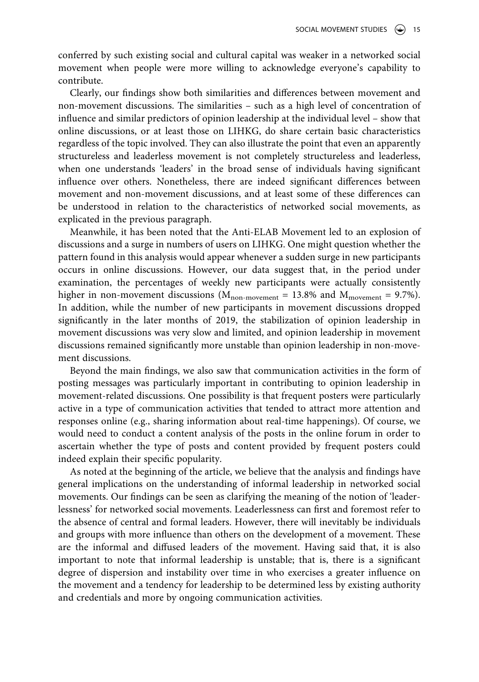conferred by such existing social and cultural capital was weaker in a networked social movement when people were more willing to acknowledge everyone's capability to contribute.

Clearly, our findings show both similarities and differences between movement and non-movement discussions. The similarities – such as a high level of concentration of influence and similar predictors of opinion leadership at the individual level – show that online discussions, or at least those on LIHKG, do share certain basic characteristics regardless of the topic involved. They can also illustrate the point that even an apparently structureless and leaderless movement is not completely structureless and leaderless, when one understands 'leaders' in the broad sense of individuals having significant influence over others. Nonetheless, there are indeed significant differences between movement and non-movement discussions, and at least some of these differences can be understood in relation to the characteristics of networked social movements, as explicated in the previous paragraph.

Meanwhile, it has been noted that the Anti-ELAB Movement led to an explosion of discussions and a surge in numbers of users on LIHKG. One might question whether the pattern found in this analysis would appear whenever a sudden surge in new participants occurs in online discussions. However, our data suggest that, in the period under examination, the percentages of weekly new participants were actually consistently higher in non-movement discussions ( $M_{\text{non-movement}} = 13.8\%$  and  $M_{\text{movement}} = 9.7\%$ ). In addition, while the number of new participants in movement discussions dropped significantly in the later months of 2019, the stabilization of opinion leadership in movement discussions was very slow and limited, and opinion leadership in movement discussions remained significantly more unstable than opinion leadership in non-movement discussions.

Beyond the main findings, we also saw that communication activities in the form of posting messages was particularly important in contributing to opinion leadership in movement-related discussions. One possibility is that frequent posters were particularly active in a type of communication activities that tended to attract more attention and responses online (e.g., sharing information about real-time happenings). Of course, we would need to conduct a content analysis of the posts in the online forum in order to ascertain whether the type of posts and content provided by frequent posters could indeed explain their specific popularity.

As noted at the beginning of the article, we believe that the analysis and findings have general implications on the understanding of informal leadership in networked social movements. Our findings can be seen as clarifying the meaning of the notion of 'leaderlessness' for networked social movements. Leaderlessness can first and foremost refer to the absence of central and formal leaders. However, there will inevitably be individuals and groups with more influence than others on the development of a movement. These are the informal and diffused leaders of the movement. Having said that, it is also important to note that informal leadership is unstable; that is, there is a significant degree of dispersion and instability over time in who exercises a greater influence on the movement and a tendency for leadership to be determined less by existing authority and credentials and more by ongoing communication activities.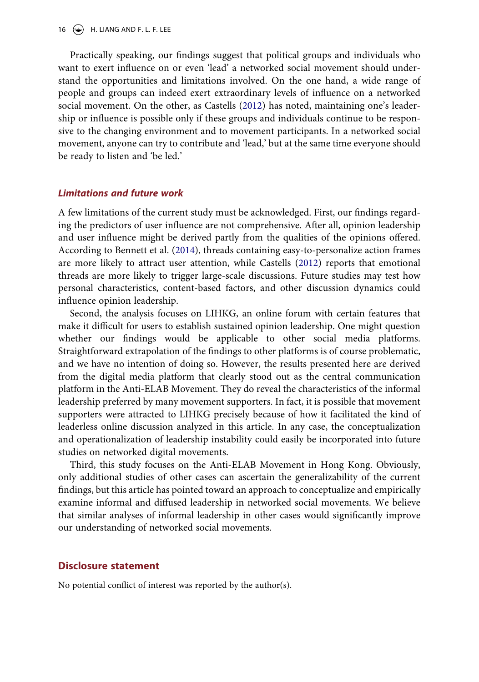Practically speaking, our findings suggest that political groups and individuals who want to exert influence on or even 'lead' a networked social movement should understand the opportunities and limitations involved. On the one hand, a wide range of people and groups can indeed exert extraordinary levels of influence on a networked social movement. On the other, as Castells ([2012](#page-16-0)) has noted, maintaining one's leadership or influence is possible only if these groups and individuals continue to be responsive to the changing environment and to movement participants. In a networked social movement, anyone can try to contribute and 'lead,' but at the same time everyone should be ready to listen and 'be led.'

#### *Limitations and future work*

A few limitations of the current study must be acknowledged. First, our findings regarding the predictors of user influence are not comprehensive. After all, opinion leadership and user influence might be derived partly from the qualities of the opinions offered. According to Bennett et al. ([2014\)](#page-16-4), threads containing easy-to-personalize action frames are more likely to attract user attention, while Castells ([2012\)](#page-16-0) reports that emotional threads are more likely to trigger large-scale discussions. Future studies may test how personal characteristics, content-based factors, and other discussion dynamics could influence opinion leadership.

Second, the analysis focuses on LIHKG, an online forum with certain features that make it difficult for users to establish sustained opinion leadership. One might question whether our findings would be applicable to other social media platforms. Straightforward extrapolation of the findings to other platforms is of course problematic, and we have no intention of doing so. However, the results presented here are derived from the digital media platform that clearly stood out as the central communication platform in the Anti-ELAB Movement. They do reveal the characteristics of the informal leadership preferred by many movement supporters. In fact, it is possible that movement supporters were attracted to LIHKG precisely because of how it facilitated the kind of leaderless online discussion analyzed in this article. In any case, the conceptualization and operationalization of leadership instability could easily be incorporated into future studies on networked digital movements.

Third, this study focuses on the Anti-ELAB Movement in Hong Kong. Obviously, only additional studies of other cases can ascertain the generalizability of the current findings, but this article has pointed toward an approach to conceptualize and empirically examine informal and diffused leadership in networked social movements. We believe that similar analyses of informal leadership in other cases would significantly improve our understanding of networked social movements.

#### **Disclosure statement**

No potential conflict of interest was reported by the author(s).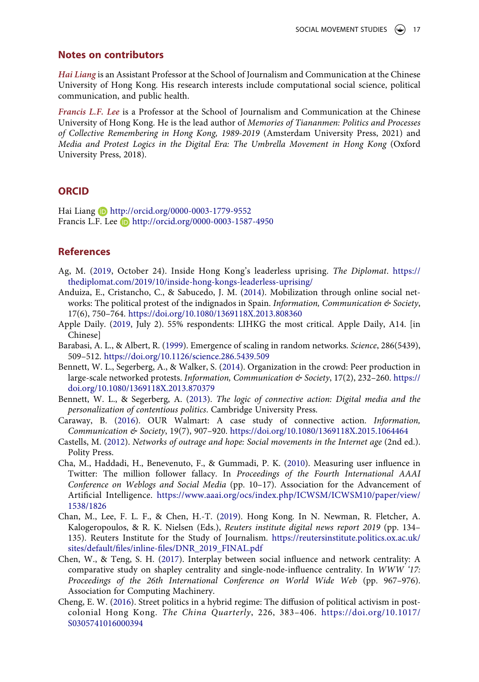#### **Notes on contributors**

*Hai Liang* is an Assistant Professor at the School of Journalism and Communication at the Chinese University of Hong Kong. His research interests include computational social science, political communication, and public health.

*Francis L.F. Lee* is a Professor at the School of Journalism and Communication at the Chinese University of Hong Kong. He is the lead author of *Memories of Tiananmen: Politics and Processes of Collective Remembering in Hong Kong, 1989-2019* (Amsterdam University Press, 2021) and *Media and Protest Logics in the Digital Era: The Umbrella Movement in Hong Kong* (Oxford University Press, 2018).

# **ORCID**

Hai Liang **h**ttp://orcid.org/0000-0003-1779-9552 Francis L.F. Lee **b** http://orcid.org/0000-0003-1587-4950

# **References**

- <span id="page-16-6"></span>Ag, M. ([2019,](#page-2-0) October 24). Inside Hong Kong's leaderless uprising. *The Diplomat*. [https://](https://thediplomat.com/2019/10/inside-hong-kongs-leaderless-uprising/) [thediplomat.com/2019/10/inside-hong-kongs-leaderless-uprising/](https://thediplomat.com/2019/10/inside-hong-kongs-leaderless-uprising/)
- <span id="page-16-1"></span>Anduiza, E., Cristancho, C., & Sabucedo, J. M. [\(2014](#page-0-0)). Mobilization through online social networks: The political protest of the indignados in Spain. *Information, Communication & Society*, 17(6), 750–764. <https://doi.org/10.1080/1369118X.2013.808360>
- <span id="page-16-8"></span>Apple Daily. [\(2019](#page-2-1), July 2). 55% respondents: LIHKG the most critical. Apple Daily, A14. [in Chinese]
- <span id="page-16-9"></span>Barabasi, A. L., & Albert, R. [\(1999\)](#page-5-0). Emergence of scaling in random networks. *Science*, 286(5439), 509–512. <https://doi.org/10.1126/science.286.5439.509>
- <span id="page-16-4"></span>Bennett, W. L., Segerberg, A., & Walker, S. [\(2014](#page-0-1)). Organization in the crowd: Peer production in large-scale networked protests. *Information, Communication & Society*, 17(2), 232–260. [https://](https://doi.org/10.1080/1369118X.2013.870379) [doi.org/10.1080/1369118X.2013.870379](https://doi.org/10.1080/1369118X.2013.870379)
- <span id="page-16-2"></span>Bennett, W. L., & Segerberg, A. [\(2013](#page-0-0)). *The logic of connective action: Digital media and the personalization of contentious politics*. Cambridge University Press.
- <span id="page-16-3"></span>Caraway, B. [\(2016](#page-0-2)). OUR Walmart: A case study of connective action. *Information, Communication & Society*, 19(7), 907–920. <https://doi.org/10.1080/1369118X.2015.1064464>
- <span id="page-16-0"></span>Castells, M. [\(2012\)](#page-0-0). *Networks of outrage and hope: Social movements in the Internet age* (2nd ed.). Polity Press.
- <span id="page-16-10"></span>Cha, M., Haddadi, H., Benevenuto, F., & Gummadi, P. K. ([2010](#page-6-0)). Measuring user influence in Twitter: The million follower fallacy. In *Proceedings of the Fourth International AAAI Conference on Weblogs and Social Media* (pp. 10–17). Association for the Advancement of Artificial Intelligence. [https://www.aaai.org/ocs/index.php/ICWSM/ICWSM10/paper/view/](https://www.aaai.org/ocs/index.php/ICWSM/ICWSM10/paper/view/1538/1826) [1538/1826](https://www.aaai.org/ocs/index.php/ICWSM/ICWSM10/paper/view/1538/1826)
- <span id="page-16-7"></span>Chan, M., Lee, F. L. F., & Chen, H.-T. [\(2019\)](#page-2-2). Hong Kong. In N. Newman, R. Fletcher, A. Kalogeropoulos, & R. K. Nielsen (Eds.), *Reuters institute digital news report 2019* (pp. 134– 135). Reuters Institute for the Study of Journalism. [https://reutersinstitute.politics.ox.ac.uk/](https://reutersinstitute.politics.ox.ac.uk/sites/default/files/inline-files/DNR_2019_FINAL.pdf) [sites/default/files/inline-files/DNR\\_2019\\_FINAL.pdf](https://reutersinstitute.politics.ox.ac.uk/sites/default/files/inline-files/DNR_2019_FINAL.pdf)
- <span id="page-16-11"></span>Chen, W., & Teng, S. H. [\(2017](#page-6-1)). Interplay between social influence and network centrality: A comparative study on shapley centrality and single-node-influence centrality. In *WWW '17: Proceedings of the 26th International Conference on World Wide Web* (pp. 967–976). Association for Computing Machinery.
- <span id="page-16-5"></span>Cheng, E. W. ([2016\)](#page-1-0). Street politics in a hybrid regime: The diffusion of political activism in postcolonial Hong Kong. *The China Quarterly*, 226, 383–406. [https://doi.org/10.1017/](https://doi.org/10.1017/S0305741016000394)  [S0305741016000394](https://doi.org/10.1017/S0305741016000394)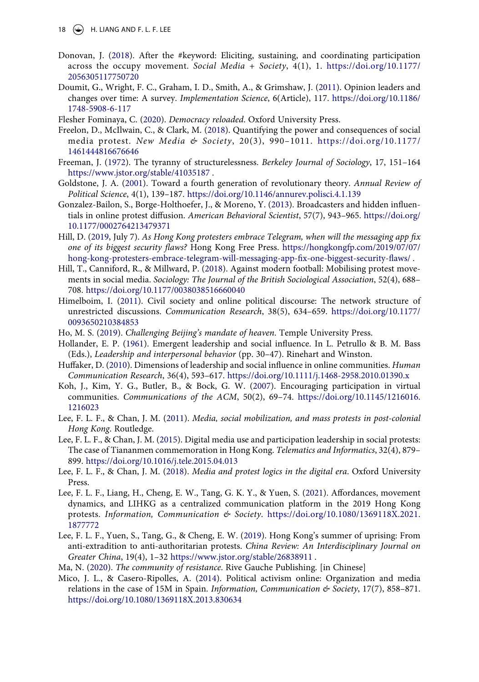18  $\left(\rightarrow\right)$  H. LIANG AND F. L. F. LEE

- <span id="page-17-0"></span>Donovan, J. [\(2018](#page-0-2)). After the #keyword: Eliciting, sustaining, and coordinating participation across the occupy movement. *Social Media + Society*, 4(1), 1. [https://doi.org/10.1177/](https://doi.org/10.1177/2056305117750720) [2056305117750720](https://doi.org/10.1177/2056305117750720)
- <span id="page-17-15"></span>Doumit, G., Wright, F. C., Graham, I. D., Smith, A., & Grimshaw, J. [\(2011\)](#page-5-1). Opinion leaders and changes over time: A survey. *Implementation Science*, 6(Article), 117. [https://doi.org/10.1186/](https://doi.org/10.1186/1748-5908-6-117) [1748-5908-6-117](https://doi.org/10.1186/1748-5908-6-117)
- <span id="page-17-6"></span>Flesher Fominaya, C. ([2020\)](#page-2-3). *Democracy reloaded*. Oxford University Press.
- <span id="page-17-20"></span>Freelon, D., McIlwain, C., & Clark, M. ([2018\)](#page-8-0). Quantifying the power and consequences of social media protest. *New Media & Society*, 20(3), 990–1011. [https://doi.org/10.1177/](https://doi.org/10.1177/1461444816676646)  [1461444816676646](https://doi.org/10.1177/1461444816676646)
- <span id="page-17-13"></span>Freeman, J. [\(1972](#page-3-0)). The tyranny of structurelessness. *Berkeley Journal of Sociology*, 17, 151–164 <https://www.jstor.org/stable/41035187> .
- <span id="page-17-18"></span>Goldstone, J. A. ([2001](#page-6-2)). Toward a fourth generation of revolutionary theory. *Annual Review of Political Science*, 4(1), 139–187. <https://doi.org/10.1146/annurev.polisci.4.1.139>
- <span id="page-17-11"></span>Gonzalez-Bailon, S., Borge-Holthoefer, J., & Moreno, Y. ([2013\)](#page-3-1). Broadcasters and hidden influentials in online protest diffusion. *American Behavioral Scientist*, 57(7), 943–965. [https://doi.org/](https://doi.org/10.1177/0002764213479371) [10.1177/0002764213479371](https://doi.org/10.1177/0002764213479371)
- <span id="page-17-7"></span>Hill, D. ([2019](#page-2-4), July 7). *As Hong Kong protesters embrace Telegram, when will the messaging app fix one of its biggest security flaws?* Hong Kong Free Press. [https://hongkongfp.com/2019/07/07/](https://hongkongfp.com/2019/07/07/hong-kong-protesters-embrace-telegram-will-messaging-app-fix-one-biggest-security-flaws/) [hong-kong-protesters-embrace-telegram-will-messaging-app-fix-one-biggest-security-flaws/](https://hongkongfp.com/2019/07/07/hong-kong-protesters-embrace-telegram-will-messaging-app-fix-one-biggest-security-flaws/) .
- <span id="page-17-12"></span>Hill, T., Canniford, R., & Millward, P. [\(2018](#page-3-2)). Against modern football: Mobilising protest movements in social media. *Sociology: The Journal of the British Sociological Association*, 52(4), 688– 708.<https://doi.org/10.1177/0038038516660040>
- <span id="page-17-17"></span>Himelboim, I. ([2011](#page-5-0)). Civil society and online political discourse: The network structure of unrestricted discussions. *Communication Research*, 38(5), 634–659. [https://doi.org/10.1177/](https://doi.org/10.1177/0093650210384853) [0093650210384853](https://doi.org/10.1177/0093650210384853)
- <span id="page-17-14"></span>Ho, M. S. ([2019](#page-4-0)). *Challenging Beijing's mandate of heaven*. Temple University Press.
- <span id="page-17-8"></span>Hollander, E. P. ([1961](#page-3-3)). Emergent leadership and social influence. In L. Petrullo & B. M. Bass (Eds.), *Leadership and interpersonal behavior* (pp. 30–47). Rinehart and Winston.
- <span id="page-17-10"></span>Huffaker, D. ([2010\)](#page-3-4). Dimensions of leadership and social influence in online communities. *Human Communication Research*, 36(4), 593–617. <https://doi.org/10.1111/j.1468-2958.2010.01390.x>
- <span id="page-17-19"></span>Koh, J., Kim, Y. G., Butler, B., & Bock, G. W. ([2007\)](#page-6-3). Encouraging participation in virtual communities. *Communications of the ACM*, 50(2), 69–74. [https://doi.org/10.1145/1216016.](https://doi.org/10.1145/1216016.1216023) [1216023](https://doi.org/10.1145/1216016.1216023)
- <span id="page-17-5"></span>Lee, F. L. F., & Chan, J. M. [\(2011\)](#page-1-0). *Media, social mobilization, and mass protests in post-colonial Hong Kong*. Routledge.
- <span id="page-17-9"></span>Lee, F. L. F., & Chan, J. M. [\(2015\)](#page-3-5). Digital media use and participation leadership in social protests: The case of Tiananmen commemoration in Hong Kong. *Telematics and Informatics*, 32(4), 879– 899.<https://doi.org/10.1016/j.tele.2015.04.013>
- <span id="page-17-2"></span>Lee, F. L. F., & Chan, J. M. [\(2018](#page-0-3)). *Media and protest logics in the digital era*. Oxford University Press.
- <span id="page-17-3"></span>Lee, F. L. F., Liang, H., Cheng, E. W., Tang, G. K. Y., & Yuen, S. ([2021\)](#page-1-1). Affordances, movement dynamics, and LIHKG as a centralized communication platform in the 2019 Hong Kong protests. *Information, Communication & Society*. [https://doi.org/10.1080/1369118X.2021.](https://doi.org/10.1080/1369118X.2021.1877772) [1877772](https://doi.org/10.1080/1369118X.2021.1877772)
- <span id="page-17-4"></span>Lee, F. L. F., Yuen, S., Tang, G., & Cheng, E. W. [\(2019](#page-1-2)). Hong Kong's summer of uprising: From anti-extradition to anti-authoritarian protests. *China Review: An Interdisciplinary Journal on Greater China*, 19(4), 1–32 <https://www.jstor.org/stable/26838911>.
- <span id="page-17-16"></span>Ma, N. ([2020\)](#page-5-2). *The community of resistance*. Rive Gauche Publishing. [in Chinese]
- <span id="page-17-1"></span>Mico, J. L., & Casero-Ripolles, A. ([2014](#page-0-4)). Political activism online: Organization and media relations in the case of 15M in Spain. *Information, Communication & Society*, 17(7), 858–871. <https://doi.org/10.1080/1369118X.2013.830634>